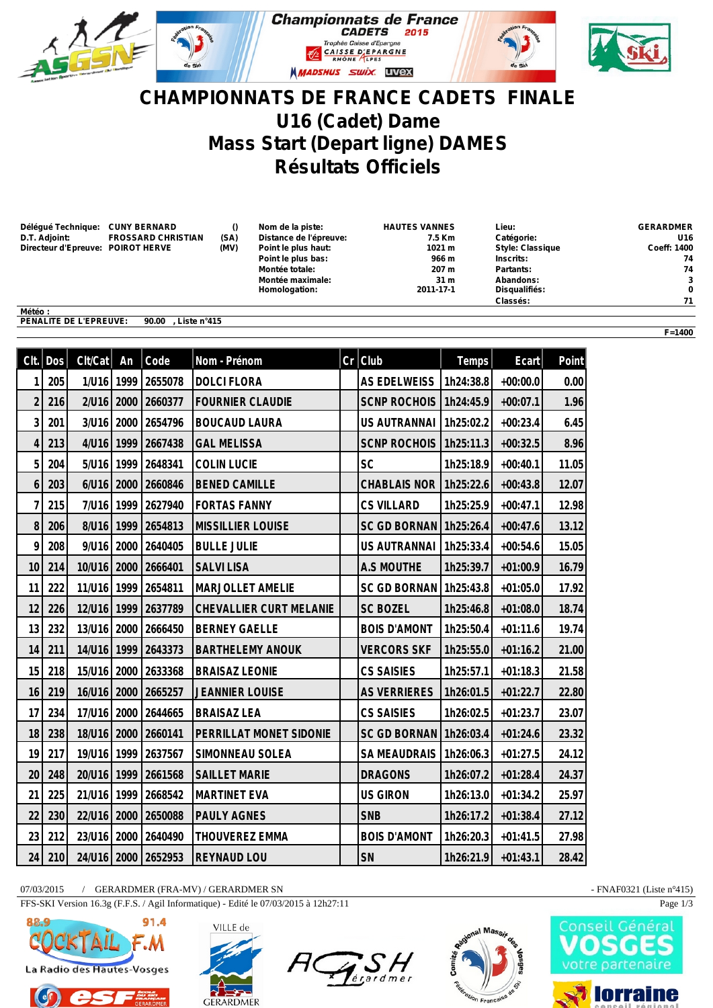

## **CHAMPIONNATS DE FRANCE CADETS FINALE U16 (Cadet) Dame Mass Start (Depart ligne) DAMES Résultats Officiels**

| Déléqué Technique: CUNY BERNARD   |                           |      | Nom de la piste:       | <b>HAUTES VANNES</b> | Lieu:                   | <b>GERARDMER</b>   |
|-----------------------------------|---------------------------|------|------------------------|----------------------|-------------------------|--------------------|
| D.T. Adjoint:                     | <b>FROSSARD CHRISTIAN</b> | (SA) | Distance de l'épreuve: | 7.5 Km               | Catégorie:              | U16                |
| Directeur d'Epreuve: POIROT HERVE |                           | (MV) | Point le plus haut:    | 1021 m               | <b>Style: Classique</b> | <b>Coeff: 1400</b> |
|                                   |                           |      | Point le plus bas:     | 966 m                | Inscrits:               | 74                 |
|                                   |                           |      | Montée totale:         | 207 m                | Partants:               | 74                 |
|                                   |                           |      | Montée maximale:       | 31 <sub>m</sub>      | Abandons:               | 3                  |
|                                   |                           |      | Homologation:          | 2011-17-1            | Disqualifiés:           | 0                  |
|                                   |                           |      |                        |                      | Classés:                | 71                 |
| Météo:                            |                           |      |                        |                      |                         |                    |

**PENALITE DE L'EPREUVE: 90.00 , Liste n°415**

| Clt.           | <b>Dos</b> | Clt/Cat    | An   | Code                | Nom - Prénom             | $Cr$ Club           | Temps     | Ecart      | Point |
|----------------|------------|------------|------|---------------------|--------------------------|---------------------|-----------|------------|-------|
| 1              | 205        | 1/U16      | 1999 | 2655078             | <b>DOLCI FLORA</b>       | <b>AS EDELWEISS</b> | 1h24:38.8 | $+00:00.0$ | 0.00  |
| $\overline{2}$ | 216        | $2$ /U16   | 2000 | 2660377             | <b>FOURNIER CLAUDIE</b>  | <b>SCNP ROCHOIS</b> | 1h24:45.9 | $+00:07.1$ | 1.96  |
| 3              | 201        | 3/U16      |      | 2000 2654796        | <b>BOUCAUD LAURA</b>     | US AUTRANNAI        | 1h25:02.2 | $+00:23.4$ | 6.45  |
| $\overline{4}$ | 213        | 4/16       | 1999 | 2667438             | <b>GAL MELISSA</b>       | <b>SCNP ROCHOIS</b> | 1h25:11.3 | $+00:32.5$ | 8.96  |
| 5              | 204        | 5/U16 1999 |      | 2648341             | <b>COLIN LUCIE</b>       | <b>SC</b>           | 1h25:18.9 | $+00:40.1$ | 11.05 |
| 6              | 203        | 6/U16      | 2000 | 2660846             | <b>BENED CAMILLE</b>     | <b>CHABLAIS NOR</b> | 1h25:22.6 | $+00:43.8$ | 12.07 |
| $\overline{1}$ | 215        | 7/U16      | 1999 | 2627940             | <b>FORTAS FANNY</b>      | <b>CS VILLARD</b>   | 1h25:25.9 | $+00:47.1$ | 12.98 |
| 8              | 206        | 8/U16      | 1999 | 2654813             | <b>MISSILLIER LOUISE</b> | <b>SC GD BORNAN</b> | 1h25:26.4 | $+00:47.6$ | 13.12 |
| 9              | 208        | 9/U16      |      | 2000 2640405        | <b>BULLE JULIE</b>       | US AUTRANNAI        | 1h25:33.4 | $+00:54.6$ | 15.05 |
| 10             | 214        | 10/U16     | 2000 | 2666401             | <b>SALVILISA</b>         | A.S MOUTHE          | 1h25:39.7 | $+01:00.9$ | 16.79 |
| 11             | 222        | 11/U16     | 1999 | 2654811             | MARJOLLET AMELIE         | <b>SC GD BORNAN</b> | 1h25:43.8 | $+01:05.0$ | 17.92 |
| 12             | 226        | 12/U16     | 1999 | 2637789             | CHEVALLIER CURT MELANIE  | <b>SC BOZEL</b>     | 1h25:46.8 | $+01:08.0$ | 18.74 |
| 13             | 232        | 13/U16     | 2000 | 2666450             | <b>BERNEY GAELLE</b>     | <b>BOIS D'AMONT</b> | 1h25:50.4 | $+01:11.6$ | 19.74 |
| 14             | 211        | 14/U16     | 1999 | 2643373             | <b>BARTHELEMY ANOUK</b>  | <b>VERCORS SKF</b>  | 1h25:55.0 | $+01:16.2$ | 21.00 |
| 15             | 218        | 15/U16     | 2000 | 2633368             | <b>BRAISAZ LEONIE</b>    | <b>CS SAISIES</b>   | 1h25:57.1 | $+01:18.3$ | 21.58 |
| 16             | 219        | 16/U16     | 2000 | 2665257             | <b>JEANNIER LOUISE</b>   | <b>AS VERRIERES</b> | 1h26:01.5 | $+01:22.7$ | 22.80 |
| 17             | 234        | 17/U16     | 2000 | 2644665             | <b>BRAISAZ LEA</b>       | <b>CS SAISIES</b>   | 1h26:02.5 | $+01:23.7$ | 23.07 |
| 18             | 238        | 18/U16     | 2000 | 2660141             | PERRILLAT MONET SIDONIE  | <b>SC GD BORNAN</b> | 1h26:03.4 | $+01:24.6$ | 23.32 |
| 19             | 217        | 19/U16     | 1999 | 2637567             | SIMONNEAU SOLEA          | <b>SA MEAUDRAIS</b> | 1h26:06.3 | $+01:27.5$ | 24.12 |
| 20             | 248        | 20/U16     | 1999 | 2661568             | <b>SAILLET MARIE</b>     | <b>DRAGONS</b>      | 1h26:07.2 | $+01:28.4$ | 24.37 |
| 21             | 225        | 21/U16     | 1999 | 2668542             | <b>MARTINET EVA</b>      | <b>US GIRON</b>     | 1h26:13.0 | $+01:34.2$ | 25.97 |
| 22             | 230        | 22/U16     | 2000 | 2650088             | <b>PAULY AGNES</b>       | <b>SNB</b>          | 1h26:17.2 | $+01:38.4$ | 27.12 |
| 23             | 212        | 23/U16     | 2000 | 2640490             | <b>THOUVEREZ EMMA</b>    | <b>BOIS D'AMONT</b> | 1h26:20.3 | $+01:41.5$ | 27.98 |
| 24             | 210        |            |      | 24/U16 2000 2652953 | <b>REYNAUD LOU</b>       | SN                  | 1h26:21.9 | $+01:43.1$ | 28.42 |

07/03/2015 / GERARDMER (FRA-MV) / GERARDMER SN - FNAF0321 (Liste n°415)

FFS-SKI Version 16.3g (F.F.S. / Agil Informatique) - Edité le 07/03/2015 à 12h27:11 Page 1/3









**F=1400**



**lorraine**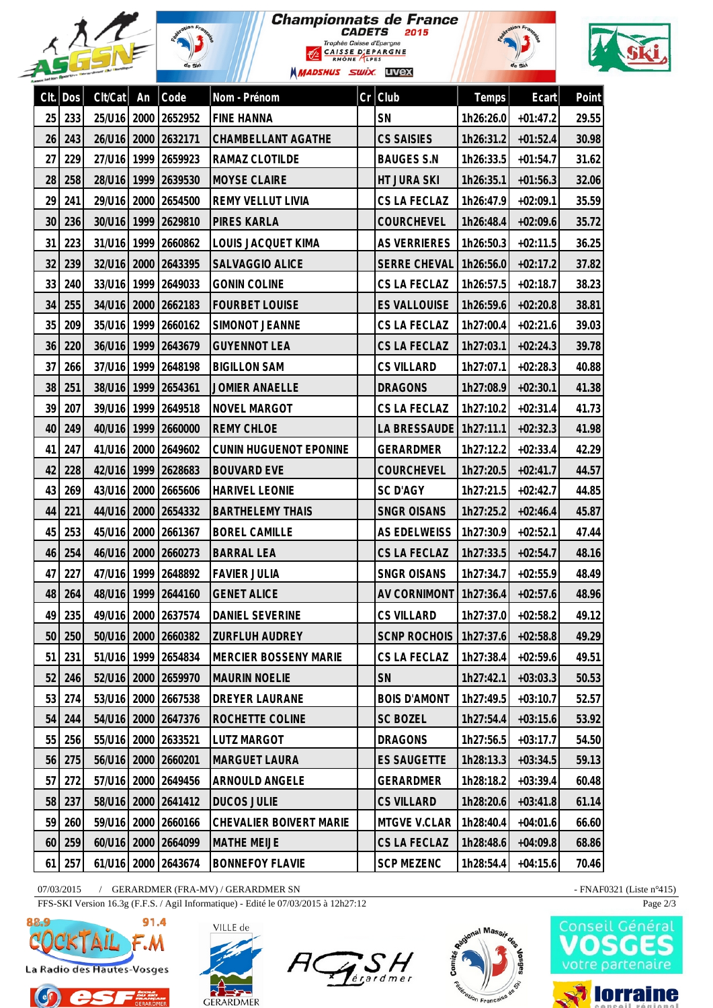|      |     |             |      | de Ski              | <b>Championnats de France</b><br>Trophée Caisse d'Epargne<br><b>CAISSE D'EPARGNE</b><br>RHÔNE LPES<br><b>MADSHUS SWIX UVEX</b> |    | <i><b>CADETS</b></i><br>2015 |              | -ion F<br>de Ski |       |
|------|-----|-------------|------|---------------------|--------------------------------------------------------------------------------------------------------------------------------|----|------------------------------|--------------|------------------|-------|
| Clt. | Dos | Clt/Cat     | An   | Code                | Nom - Prénom                                                                                                                   | Cr | Club                         | <b>Temps</b> | Ecart            | Point |
| 25   | 233 | 25/U16      | 2000 | 2652952             | <b>FINE HANNA</b>                                                                                                              |    | SN                           | 1h26:26.0    | $+01:47.2$       | 29.55 |
| 26   | 243 | 26/U16      | 2000 | 2632171             | CHAMBELLANT AGATHE                                                                                                             |    | <b>CS SAISIES</b>            | 1h26:31.2    | $+01:52.4$       | 30.98 |
| 27   | 229 | 27/U16      | 1999 | 2659923             | RAMAZ CLOTILDE                                                                                                                 |    | <b>BAUGES S.N</b>            | 1h26:33.5    | $+01:54.7$       | 31.62 |
| 28   | 258 | 28/U16      | 1999 | 2639530             | <b>MOYSE CLAIRE</b>                                                                                                            |    | <b>HT JURA SKI</b>           | 1h26:35.1    | $+01:56.3$       | 32.06 |
| 29   | 241 | 29/U16      | 2000 | 2654500             | REMY VELLUT LIVIA                                                                                                              |    | CS LA FECLAZ                 | 1h26:47.9    | $+02:09.1$       | 35.59 |
| 30   | 236 | 30/U16      | 1999 | 2629810             | <b>PIRES KARLA</b>                                                                                                             |    | COURCHEVEL                   | 1h26:48.4    | $+02:09.6$       | 35.72 |
| 31   | 223 | 31/U16      | 1999 | 2660862             | LOUIS JACQUET KIMA                                                                                                             |    | <b>AS VERRIERES</b>          | 1h26:50.3    | $+02:11.5$       | 36.25 |
| 32   | 239 | 32/U16      | 2000 | 2643395             | SALVAGGIO ALICE                                                                                                                |    | <b>SERRE CHEVAL</b>          | 1h26:56.0    | $+02:17.2$       | 37.82 |
| 33   | 240 | 33/U16      | 1999 | 2649033             | <b>GONIN COLINE</b>                                                                                                            |    | CS LA FECLAZ                 | 1h26:57.5    | $+02:18.7$       | 38.23 |
| 34   | 255 | 34/U16      | 2000 | 2662183             | <b>FOURBET LOUISE</b>                                                                                                          |    | <b>ES VALLOUISE</b>          | 1h26:59.6    | $+02:20.8$       | 38.81 |
| 35   | 209 | 35/U16      | 1999 | 2660162             | SIMONOT JEANNE                                                                                                                 |    | CS LA FECLAZ                 | 1h27:00.4    | $+02:21.6$       | 39.03 |
| 36   | 220 | 36/U16      | 1999 | 2643679             | <b>GUYENNOT LEA</b>                                                                                                            |    | CS LA FECLAZ                 | 1h27:03.1    | $+02:24.3$       | 39.78 |
| 37   | 266 | 37/U16      | 1999 | 2648198             | <b>BIGILLON SAM</b>                                                                                                            |    | <b>CS VILLARD</b>            | 1h27:07.1    | $+02:28.3$       | 40.88 |
| 38   | 251 | 38/U16      | 1999 | 2654361             | <b>JOMIER ANAELLE</b>                                                                                                          |    | <b>DRAGONS</b>               | 1h27:08.9    | $+02:30.1$       | 41.38 |
| 39   | 207 | 39/U16      | 1999 | 2649518             | <b>NOVEL MARGOT</b>                                                                                                            |    | CS LA FECLAZ                 | 1h27:10.2    | $+02:31.4$       | 41.73 |
| 40   | 249 | 40/U16      | 1999 | 2660000             | <b>REMY CHLOE</b>                                                                                                              |    | <b>LA BRESSAUDE</b>          | 1h27:11.1    | $+02:32.3$       | 41.98 |
| 41   | 247 | 41/U16      | 2000 | 2649602             | CUNIN HUGUENOT EPONINE                                                                                                         |    | <b>GERARDMER</b>             | 1h27:12.2    | $+02:33.4$       | 42.29 |
| 42   | 228 | 42/U16      | 1999 | 2628683             | <b>BOUVARD EVE</b>                                                                                                             |    | COURCHEVEL                   | 1h27:20.5    | $+02:41.7$       | 44.57 |
| 43   | 269 | 43/U16      | 2000 | 2665606             | <b>HARIVEL LEONIE</b>                                                                                                          |    | <b>SC D'AGY</b>              | 1h27:21.5    | $+02:42.7$       | 44.85 |
| 44   | 221 | 44/U16      | 2000 | 2654332             | <b>BARTHELEMY THAIS</b>                                                                                                        |    | <b>SNGR OISANS</b>           | 1h27:25.2    | $+02:46.4$       | 45.87 |
| 45   | 253 |             |      | 45/U16 2000 2661367 | <b>BOREL CAMILLE</b>                                                                                                           |    | <b>AS EDELWEISS</b>          | 1h27:30.9    | $+02:52.1$       | 47.44 |
| 46   | 254 |             |      | 46/U16 2000 2660273 | <b>BARRAL LEA</b>                                                                                                              |    | CS LA FECLAZ                 | 1h27:33.5    | $+02:54.7$       | 48.16 |
| 47   | 227 |             |      | 47/U16 1999 2648892 | <b>FAVIER JULIA</b>                                                                                                            |    | <b>SNGR OISANS</b>           | 1h27:34.7    | $+02:55.9$       | 48.49 |
| 48   | 264 |             |      | 48/U16 1999 2644160 | <b>GENET ALICE</b>                                                                                                             |    | AV CORNIMONT                 | 1h27:36.4    | $+02:57.6$       | 48.96 |
| 49   | 235 |             |      | 49/U16 2000 2637574 | DANIEL SEVERINE                                                                                                                |    | <b>CS VILLARD</b>            | 1h27:37.0    | $+02:58.2$       | 49.12 |
| 50   | 250 |             |      | 50/U16 2000 2660382 | ZURFLUH AUDREY                                                                                                                 |    | <b>SCNP ROCHOIS</b>          | 1h27:37.6    | $+02:58.8$       | 49.29 |
| 51   | 231 |             |      | 51/U16 1999 2654834 | <b>MERCIER BOSSENY MARIE</b>                                                                                                   |    | CS LA FECLAZ                 | 1h27:38.4    | $+02:59.6$       | 49.51 |
| 52   | 246 |             |      | 52/U16 2000 2659970 | <b>MAURIN NOELIE</b>                                                                                                           |    | SN                           | 1h27:42.1    | $+03:03.3$       | 50.53 |
| 53   | 274 |             |      | 53/U16 2000 2667538 | DREYER LAURANE                                                                                                                 |    | <b>BOIS D'AMONT</b>          | 1h27:49.5    | $+03:10.7$       | 52.57 |
| 54   | 244 |             |      | 54/U16 2000 2647376 | ROCHETTE COLINE                                                                                                                |    | <b>SC BOZEL</b>              | 1h27:54.4    | $+03:15.6$       | 53.92 |
| 55   | 256 |             |      | 55/U16 2000 2633521 | LUTZ MARGOT                                                                                                                    |    | <b>DRAGONS</b>               | 1h27:56.5    | $+03:17.7$       | 54.50 |
| 56   | 275 |             |      | 56/U16 2000 2660201 | <b>MARGUET LAURA</b>                                                                                                           |    | <b>ES SAUGETTE</b>           | 1h28:13.3    | $+03:34.5$       | 59.13 |
| 57   | 272 |             |      | 57/U16 2000 2649456 | ARNOULD ANGELE                                                                                                                 |    | <b>GERARDMER</b>             | 1h28:18.2    | $+03:39.4$       | 60.48 |
| 58   | 237 |             |      | 58/U16 2000 2641412 | <b>DUCOS JULIE</b>                                                                                                             |    | <b>CS VILLARD</b>            | 1h28:20.6    | $+03:41.8$       | 61.14 |
| 59   | 260 | 59/U16 2000 |      | 2660166             | CHEVALIER BOIVERT MARIE                                                                                                        |    | MTGVE V.CLAR                 | 1h28:40.4    | $+04:01.6$       | 66.60 |
| 60   | 259 | 60/U16 2000 |      | 2664099             | <b>MATHE MEIJE</b>                                                                                                             |    | CS LA FECLAZ                 | 1h28:48.6    | $+04:09.8$       | 68.86 |
| 61   | 257 |             |      | 61/U16 2000 2643674 | <b>BONNEFOY FLAVIE</b>                                                                                                         |    | <b>SCP MEZENC</b>            | 1h28:54.4    | $+04:15.6$       | 70.46 |

07/03/2015 / GERARDMER (FRA-MV) / GERARDMER SN

**DU SKI** 

FFS-SKI Version 16.3g (F.F.S. / Agil Informatique) - Edité le 07/03/2015 à 12h27:12



r:

 $\int$ 







- FNAF0321 (Liste n°415)